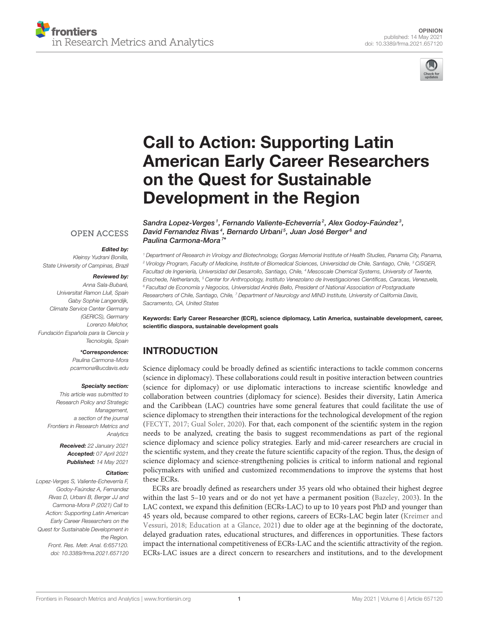



# Call to Action: Supporting Latin [American Early Career Researchers](https://www.frontiersin.org/articles/10.3389/frma.2021.657120/full) on the Quest for Sustainable Development in the Region

Sandra Lopez-Verges<sup>1</sup>, Fernando Valiente-Echeverría<sup>2</sup>, Alex Godoy-Faúndez<sup>3</sup>,

David Fernandez Rivas<sup>4</sup>, Bernardo Urbani<sup>5</sup>, Juan José Berger<sup>6</sup> and

#### **OPEN ACCESS**

#### Edited by:

Kleinsy Yudrani Bonilla, State University of Campinas, Brazil

#### Reviewed by:

Anna Sala-Bubaré, Universitat Ramon Llull, Spain Gaby Sophie Langendijk, Climate Service Center Germany (GERICS), Germany Lorenzo Melchor, Fundación Española para la Ciencia y Tecnología, Spain

#### \*Correspondence:

Paulina Carmona-Mora [pcarmona@ucdavis.edu](mailto:pcarmona@ucdavis.edu)

#### Specialty section:

This article was submitted to Research Policy and Strategic Management, a section of the journal Frontiers in Research Metrics and **Analytics** 

> Received: 22 January 2021 Accepted: 07 April 2021 Published: 14 May 2021

#### Citation:

Lopez-Verges S, Valiente-Echeverría F, Godoy-Faúndez A, Fernandez Rivas D, Urbani B, Berger JJ and Carmona-Mora P (2021) Call to Action: Supporting Latin American Early Career Researchers on the Quest for Sustainable Development in the Region. Front. Res. Metr. Anal. 6:657120. doi: [10.3389/frma.2021.657120](https://doi.org/10.3389/frma.2021.657120)

<sup>1</sup> Department of Research in Virology and Biotechnology, Gorgas Memorial Institute of Health Studies, Panama City, Panama, <sup>2</sup> Virology Program, Faculty of Medicine, Institute of Biomedical Sciences, Universidad de Chile, Santiago, Chile, <sup>3</sup> CiSGER, Facultad de Ingeniería, Universidad del Desarrollo, Santiago, Chile, <sup>4</sup> Mesoscale Chemical Systems, University of Twente, Enschede, Netherlands, <sup>5</sup> Center for Anthropology, Instituto Venezolano de Investigaciones Científicas, Caracas, Venezuela, <sup>6</sup> Facultad de Economía y Negocios, Universidad Andrés Bello, President of National Association of Postgraduate Researchers of Chile, Santiago, Chile, <sup>7</sup> Department of Neurology and MIND Institute, University of California Davis, Sacramento, CA, United States

Keywords: Early Career Researcher (ECR), science diplomacy, Latin America, sustainable development, career, scientific diaspora, sustainable development goals

### INTRODUCTION

Paulina Carmona-Mora<sup>7\*</sup>

Science diplomacy could be broadly defined as scientific interactions to tackle common concerns (science in diplomacy). These collaborations could result in positive interaction between countries (science for diplomacy) or use diplomatic interactions to increase scientific knowledge and collaboration between countries (diplomacy for science). Besides their diversity, Latin America and the Caribbean (LAC) countries have some general features that could facilitate the use of science diplomacy to strengthen their interactions for the technological development of the region [\(FECYT, 2017;](#page-4-0) [Gual Soler, 2020\)](#page-4-1). For that, each component of the scientific system in the region needs to be analyzed, creating the basis to suggest recommendations as part of the regional science diplomacy and science policy strategies. Early and mid-career researchers are crucial in the scientific system, and they create the future scientific capacity of the region. Thus, the design of science diplomacy and science-strengthening policies is critical to inform national and regional policymakers with unified and customized recommendations to improve the systems that host these ECRs.

ECRs are broadly defined as researchers under 35 years old who obtained their highest degree within the last 5–10 years and or do not yet have a permanent position [\(Bazeley, 2003\)](#page-4-2). In the LAC context, we expand this definition (ECRs-LAC) to up to 10 years post PhD and younger than 45 years old, because compared to other regions, careers of ECRs-LAC begin later (Kreimer and Vessuri, [2018;](#page-5-0) [Education at a Glance, 2021\)](#page-4-3) due to older age at the beginning of the doctorate, delayed graduation rates, educational structures, and differences in opportunities. These factors impact the international competitiveness of ECRs-LAC and the scientific attractivity of the region. ECRs-LAC issues are a direct concern to researchers and institutions, and to the development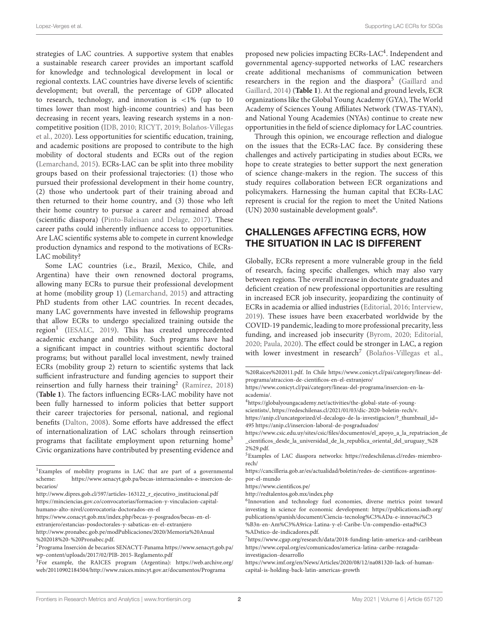Lopez-Verges et al. Supporting LAC ECRs for SDGs

strategies of LAC countries. A supportive system that enables a sustainable research career provides an important scaffold for knowledge and technological development in local or regional contexts. LAC countries have diverse levels of scientific development; but overall, the percentage of GDP allocated to research, technology, and innovation is <1% (up to 10 times lower than most high-income countries) and has been decreasing in recent years, leaving research systems in a noncompetitive position [\(IDB, 2010;](#page-5-1) [RICYT, 2019;](#page-5-2) Bolaños-Villegas et al., [2020\)](#page-4-4). Less opportunities for scientific education, training, and academic positions are proposed to contribute to the high mobility of doctoral students and ECRs out of the region [\(Lemarchand, 2015\)](#page-5-3). ECRs-LAC can be split into three mobility groups based on their professional trajectories: (1) those who pursued their professional development in their home country, (2) those who undertook part of their training abroad and then returned to their home country, and (3) those who left their home country to pursue a career and remained abroad (scientific diaspora) [\(Pinto-Baleisan and Delage, 2017\)](#page-5-4). These career paths could inherently influence access to opportunities. Are LAC scientific systems able to compete in current knowledge production dynamics and respond to the motivations of ECRs-LAC mobility?

Some LAC countries (i.e., Brazil, Mexico, Chile, and Argentina) have their own renowned doctoral programs, allowing many ECRs to pursue their professional development at home (mobility group 1) [\(Lemarchand, 2015\)](#page-5-3) and attracting PhD students from other LAC countries. In recent decades, many LAC governments have invested in fellowship programs that allow ECRs to undergo specialized training outside the region<sup>[1](#page-1-0)</sup> [\(IESALC, 2019\)](#page-5-5). This has created unprecedented academic exchange and mobility. Such programs have had a significant impact in countries without scientific doctoral programs; but without parallel local investment, newly trained ECRs (mobility group 2) return to scientific systems that lack sufficient infrastructure and funding agencies to support their reinsertion and fully harness their training<sup>[2](#page-1-1)</sup> [\(Ramírez, 2018\)](#page-5-6) (**[Table 1](#page-2-0)**). The factors influencing ECRs-LAC mobility have not been fully harnessed to inform policies that better support their career trajectories for personal, national, and regional benefits [\(Dalton, 2008\)](#page-4-5). Some efforts have addressed the effect of internationalization of LAC scholars through reinsertion programs that facilitate employment upon returning home[3](#page-1-2) Civic organizations have contributed by presenting evidence and

proposed new policies impacting ECRs-LAC<sup>[4](#page-1-3)</sup>. Independent and governmental agency-supported networks of LAC researchers create additional mechanisms of communication between researchers in the region and the diaspora<sup>[5](#page-1-4)</sup> (Gaillard and Gaillard, [2014\)](#page-4-6) (**[Table 1](#page-2-0)**). At the regional and ground levels, ECR organizations like the Global Young Academy (GYA), The World Academy of Sciences Young Affiliates Network (TWAS-TYAN), and National Young Academies (NYAs) continue to create new opportunities in the field of science diplomacy for LAC countries.

Through this opinion, we encourage reflection and dialogue on the issues that the ECRs-LAC face. By considering these challenges and actively participating in studies about ECRs, we hope to create strategies to better support the next generation of science change-makers in the region. The success of this study requires collaboration between ECR organizations and policymakers. Harnessing the human capital that ECRs-LAC represent is crucial for the region to meet the United Nations (UN) 2030 sustainable development goals<sup>[6](#page-1-5)</sup>.

### CHALLENGES AFFECTING ECRS, HOW THE SITUATION IN LAC IS DIFFERENT

Globally, ECRs represent a more vulnerable group in the field of research, facing specific challenges, which may also vary between regions. The overall increase in doctorate graduates and deficient creation of new professional opportunities are resulting in increased ECR job insecurity, jeopardizing the continuity of ECRs in academia or allied industries [\(Editorial, 2016;](#page-4-7) [Interview,](#page-5-7) [2019\)](#page-5-7). These issues have been exacerbated worldwide by the COVID-19 pandemic, leading to more professional precarity, less funding, and increased job insecurity [\(Byrom, 2020;](#page-4-8) [Editorial,](#page-4-9) [2020;](#page-4-9) [Paula, 2020\)](#page-5-8). The effect could be stronger in LAC, a region with lower investment in research<sup>[7](#page-1-6)</sup> [\(Bolaños-Villegas et al.,](#page-4-4)

[https://cancilleria.gob.ar/es/actualidad/boletin/redes-de-cientificos-argentinos](https://cancilleria.gob.ar/es/actualidad/boletin/redes-de-cientificos-argentinos-por-el-mundo)[por-el-mundo](https://cancilleria.gob.ar/es/actualidad/boletin/redes-de-cientificos-argentinos-por-el-mundo)

<span id="page-1-0"></span><sup>1</sup>Examples of mobility programs in LAC that are part of a governmental scheme: [https://www.senacyt.gob.pa/becas-internacionales-e-insercion-de](https://www.senacyt.gob.pa/becas-internacionales-e-insercion-de-becarios/)[becarios/](https://www.senacyt.gob.pa/becas-internacionales-e-insercion-de-becarios/)

[http://www.dipres.gob.cl/597/articles-163122\\_r\\_ejecutivo\\_institucional.pdf](http://www.dipres.gob.cl/597/articles-163122_r_ejecutivo_institucional.pdf) [https://minciencias.gov.co/convocatorias/formacion-y-vinculacion-capital](https://minciencias.gov.co/convocatorias/formacion-y-vinculacion-capital-humano-alto-nivel/convocatoria-doctorados-en-el)[humano-alto-nivel/convocatoria-doctorados-en-el](https://minciencias.gov.co/convocatorias/formacion-y-vinculacion-capital-humano-alto-nivel/convocatoria-doctorados-en-el)

[https://www.conacyt.gob.mx/index.php/becas-y-posgrados/becas-en-el](https://www.conacyt.gob.mx/index.php/becas-y-posgrados/becas-en-el-extranjero/estancias-posdoctorales-y-sabaticas-en-el-extranjero)[extranjero/estancias-posdoctorales-y-sabaticas-en-el-extranjero](https://www.conacyt.gob.mx/index.php/becas-y-posgrados/becas-en-el-extranjero/estancias-posdoctorales-y-sabaticas-en-el-extranjero)

[http://www.pronabec.gob.pe/modPublicaciones/2020/Memoria%20Anual](http://www.pronabec.gob.pe/modPublicaciones/2020/Memoria%20Anual%202018%20-%20Pronabec.pdf) [%202018%20-%20Pronabec.pdf.](http://www.pronabec.gob.pe/modPublicaciones/2020/Memoria%20Anual%202018%20-%20Pronabec.pdf)

<span id="page-1-1"></span><sup>2</sup>Programa Inserción de becarios SENACYT-Panama [https://www.senacyt.gob.pa/](https://www.senacyt.gob.pa/wp-content/uploads/2017/02/PIB-2015-Reglamento.pdf) [wp-content/uploads/2017/02/PIB-2015-Reglamento.pdf](https://www.senacyt.gob.pa/wp-content/uploads/2017/02/PIB-2015-Reglamento.pdf)

<span id="page-1-2"></span><sup>3</sup>For example, the RAICES program (Argentina): [https://web.archive.org/](https://web.archive.org/web/20110902184504/http://www.raices.mincyt.gov.ar/documentos/Programa%20Raices%202011.pdf) [web/20110902184504/http://www.raices.mincyt.gov.ar/documentos/Programa](https://web.archive.org/web/20110902184504/http://www.raices.mincyt.gov.ar/documentos/Programa%20Raices%202011.pdf)

[<sup>%20</sup>Raices%202011.pdf.](https://web.archive.org/web/20110902184504/http://www.raices.mincyt.gov.ar/documentos/Programa%20Raices%202011.pdf) In Chile [https://www.conicyt.cl/pai/category/lineas-del](https://www.conicyt.cl/pai/category/lineas-del-programa/atraccion-de-cientificos-en-el-extranjero/)[programa/atraccion-de-cientificos-en-el-extranjero/](https://www.conicyt.cl/pai/category/lineas-del-programa/atraccion-de-cientificos-en-el-extranjero/)

[https://www.conicyt.cl/pai/category/lineas-del-programa/insercion-en-la](https://www.conicyt.cl/pai/category/lineas-del-programa/insercion-en-la-academia/)[academia/.](https://www.conicyt.cl/pai/category/lineas-del-programa/insercion-en-la-academia/)

<span id="page-1-3"></span><sup>4</sup>[https://globalyoungacademy.net/activities/the-global-state-of-young](https://globalyoungacademy.net/activities/the-global-state-of-young-scientists/)[scientists/,](https://globalyoungacademy.net/activities/the-global-state-of-young-scientists/) [https://redeschilenas.cl/2021/01/03/dic-2020-boletin-rech/v.](https://redeschilenas.cl/2021/01/03/dic-2020-boletin-rech/v) [https://anip.cl/uncategorized/el-decalogo-de-la-investigacion/?\\_thumbnail\\_id=](https://anip.cl/uncategorized/el-decalogo-de-la-investigacion/?_thumbnail_id=495) [495](https://anip.cl/uncategorized/el-decalogo-de-la-investigacion/?_thumbnail_id=495)<https://anip.cl/insercion-laboral-de-posgraduados/>

[https://www.csic.edu.uy/sites/csic/files/documentos/el\\_apoyo\\_a\\_la\\_repatriacion\\_de](https://www.csic.edu.uy/sites/csic/files/documentos/el_apoyo_a_la_repatriacion_de_cientificos_desde_la_universidad_de_la_republica_oriental_del_uruguay_%282%29.pdf) [\\_cientificos\\_desde\\_la\\_universidad\\_de\\_la\\_republica\\_oriental\\_del\\_uruguay\\_%28](https://www.csic.edu.uy/sites/csic/files/documentos/el_apoyo_a_la_repatriacion_de_cientificos_desde_la_universidad_de_la_republica_oriental_del_uruguay_%282%29.pdf) [2%29.pdf.](https://www.csic.edu.uy/sites/csic/files/documentos/el_apoyo_a_la_repatriacion_de_cientificos_desde_la_universidad_de_la_republica_oriental_del_uruguay_%282%29.pdf)

<span id="page-1-4"></span><sup>5</sup>Examples of LAC diaspora networks: [https://redeschilenas.cl/redes-miembro](https://redeschilenas.cl/redes-miembro-rech/)[rech/](https://redeschilenas.cl/redes-miembro-rech/)

<https://www.cientificos.pe/>

<http://redtalentos.gob.mx/index.php>

<span id="page-1-5"></span><sup>6</sup> Innovation and technology fuel economies, diverse metrics point toward investing in science for economic development: [https://publications.iadb.org/](https://publications.iadb.org/publications/spanish/document/Ciencia-tecnolog%C3%ADa-e-innovaci%C3%B3n-en-Am%C3%A9rica-Latina-y-el-Caribe-Un-compendio-estad%C3%ADstico-de-indicadores.pdf) [publications/spanish/document/Ciencia-tecnolog%C3%ADa-e-innovaci%C3](https://publications.iadb.org/publications/spanish/document/Ciencia-tecnolog%C3%ADa-e-innovaci%C3%B3n-en-Am%C3%A9rica-Latina-y-el-Caribe-Un-compendio-estad%C3%ADstico-de-indicadores.pdf) [%B3n-en-Am%C3%A9rica-Latina-y-el-Caribe-Un-compendio-estad%C3](https://publications.iadb.org/publications/spanish/document/Ciencia-tecnolog%C3%ADa-e-innovaci%C3%B3n-en-Am%C3%A9rica-Latina-y-el-Caribe-Un-compendio-estad%C3%ADstico-de-indicadores.pdf) [%ADstico-de-indicadores.pdf.](https://publications.iadb.org/publications/spanish/document/Ciencia-tecnolog%C3%ADa-e-innovaci%C3%B3n-en-Am%C3%A9rica-Latina-y-el-Caribe-Un-compendio-estad%C3%ADstico-de-indicadores.pdf)

<span id="page-1-6"></span> $^7$ <https://www.cgap.org/research/data/2018-funding-latin-america-and-caribbean> [https://www.cepal.org/es/comunicados/america-latina-caribe-rezagada](https://www.cepal.org/es/comunicados/america-latina-caribe-rezagada-investigacion-desarrollo)[investigacion-desarrollo](https://www.cepal.org/es/comunicados/america-latina-caribe-rezagada-investigacion-desarrollo)

[https://www.imf.org/en/News/Articles/2020/08/12/na081320-lack-of-human](https://www.imf.org/en/News/Articles/2020/08/12/na081320-lack-of-human-capital-is-holding-back-latin-americas-growth)[capital-is-holding-back-latin-americas-growth](https://www.imf.org/en/News/Articles/2020/08/12/na081320-lack-of-human-capital-is-holding-back-latin-americas-growth)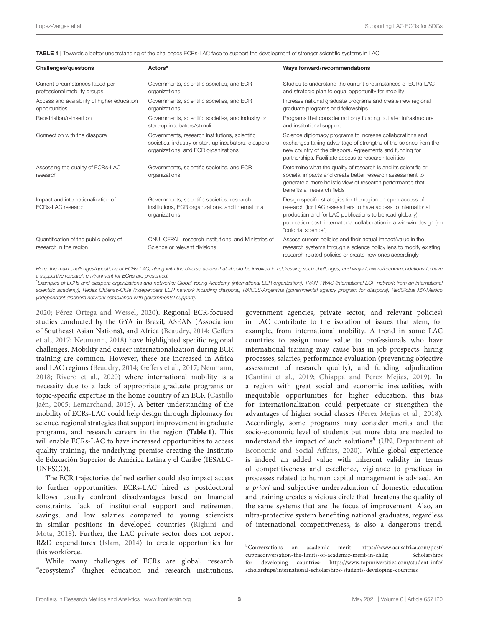<span id="page-2-0"></span>TABLE 1 | Towards a better understanding of the challenges ECRs-LAC face to support the development of stronger scientific systems in LAC.

| <b>Challenges/questions</b>                                      | Actors*                                                                                                                                        | Ways forward/recommendations                                                                                                                                                                                                                                                             |
|------------------------------------------------------------------|------------------------------------------------------------------------------------------------------------------------------------------------|------------------------------------------------------------------------------------------------------------------------------------------------------------------------------------------------------------------------------------------------------------------------------------------|
| Current circumstances faced per<br>professional mobility groups  | Governments, scientific societies, and ECR<br>organizations                                                                                    | Studies to understand the current circumstances of ECRs-LAC<br>and strategic plan to equal opportunity for mobility                                                                                                                                                                      |
| Access and availability of higher education<br>opportunities     | Governments, scientific societies, and ECR<br>organizations                                                                                    | Increase national graduate programs and create new regional<br>graduate programs and fellowships                                                                                                                                                                                         |
| Repatriation/reinsertion                                         | Governments, scientific societies, and industry or<br>start-up incubators/stimuli                                                              | Programs that consider not only funding but also infrastructure<br>and institutional support                                                                                                                                                                                             |
| Connection with the diaspora                                     | Governments, research institutions, scientific<br>societies, industry or start-up incubators, diaspora<br>organizations, and ECR organizations | Science diplomacy programs to increase collaborations and<br>exchanges taking advantage of strengths of the science from the<br>new country of the diaspora. Agreements and funding for<br>partnerships. Facilitate access to research facilities                                        |
| Assessing the quality of ECRs-LAC<br>research                    | Governments, scientific societies, and ECR<br>organizations                                                                                    | Determine what the quality of research is and its scientific or<br>societal impacts and create better research assessment to<br>generate a more holistic view of research performance that<br>benefits all research fields                                                               |
| Impact and internationalization of<br><b>ECRs-LAC</b> research   | Governments, scientific societies, research<br>institutions, ECR organizations, and international<br>organizations                             | Design specific strategies for the region on open access of<br>research (for LAC researchers to have access to international<br>production and for LAC publications to be read globally)<br>publication cost, international collaboration in a win-win design (no<br>"colonial science") |
| Quantification of the public policy of<br>research in the region | ONU, CEPAL, research institutions, and Ministries of<br>Science or relevant divisions                                                          | Assess current policies and their actual impact/value in the<br>research systems through a science policy lens to modify existing<br>research-related policies or create new ones accordingly                                                                                            |

Here, the main challenges/questions of ECRs-LAC, along with the diverse actors that should be involved in addressing such challenges, and ways forward/recommendations to have a supportive research environment for ECRs are presented.

\*Examples of ECRs and diaspora organizations and networks: Global Young Academy (international ECR organization), TYAN-TWAS (international ECR network from an international scientific academy), Redes Chilenas-Chile (independent ECR network including diaspora), RAICES-Argentina (governmental agency program for diaspora), RedGlobal MX-Mexico (independent diaspora network established with governmental support).

[2020;](#page-4-4) [Pérez Ortega and Wessel, 2020\)](#page-5-9). Regional ECR-focused studies conducted by the GYA in Brazil, ASEAN (Association of Southeast Asian Nations), and Africa [\(Beaudry, 2014;](#page-4-10) Geffers et al., [2017;](#page-4-11) [Neumann, 2018\)](#page-5-10) have highlighted specific regional challenges. Mobility and career internationalization during ECR training are common. However, these are increased in Africa and LAC regions [\(Beaudry, 2014;](#page-4-10) [Geffers et al., 2017;](#page-4-11) [Neumann,](#page-5-10) [2018;](#page-5-10) [Rivero et al., 2020\)](#page-5-11) where international mobility is a necessity due to a lack of appropriate graduate programs or topic-specific expertise in the home country of an ECR (Castillo Jaén, [2005;](#page-4-12) [Lemarchand, 2015\)](#page-5-3). A better understanding of the mobility of ECRs-LAC could help design through diplomacy for science, regional strategies that support improvement in graduate programs, and research careers in the region (**[Table 1](#page-2-0)**). This will enable ECRs-LAC to have increased opportunities to access quality training, the underlying premise creating the Instituto de Educación Superior de América Latina y el Caribe (IESALC-UNESCO).

The ECR trajectories defined earlier could also impact access to further opportunities. ECRs-LAC hired as postdoctoral fellows usually confront disadvantages based on financial constraints, lack of institutional support and retirement savings, and low salaries compared to young scientists in similar positions in developed countries (Righini and Mota, [2018\)](#page-5-12). Further, the LAC private sector does not report R&D expenditures [\(Islam, 2014\)](#page-5-13) to create opportunities for this workforce.

While many challenges of ECRs are global, research "ecosystems" (higher education and research institutions, government agencies, private sector, and relevant policies) in LAC contribute to the isolation of issues that stem, for example, from international mobility. A trend in some LAC countries to assign more value to professionals who have international training may cause bias in job prospects, hiring processes, salaries, performance evaluation (preventing objective assessment of research quality), and funding adjudication [\(Cantini et al., 2019;](#page-4-13) [Chiappa and Perez Mejias, 2019\)](#page-4-14). In a region with great social and economic inequalities, with inequitable opportunities for higher education, this bias for internationalization could perpetuate or strengthen the advantages of higher social classes [\(Perez Mejias et al., 2018\)](#page-5-14). Accordingly, some programs may consider merits and the socio-economic level of students but more data are needed to understand the impact of such solutions<sup>[8](#page-2-1)</sup> (UN, Department of Economic and Social Affairs, [2020\)](#page-5-15). While global experience is indeed an added value with inherent validity in terms of competitiveness and excellence, vigilance to practices in processes related to human capital management is advised. An a priori and subjective undervaluation of domestic education and training creates a vicious circle that threatens the quality of the same systems that are the focus of improvement. Also, an ultra-protective system benefiting national graduates, regardless of international competitiveness, is also a dangerous trend.

<span id="page-2-1"></span><sup>8</sup>Conversations on academic merit: [https://www.acusafrica.com/post/](https://www.acusafrica.com/post/cuppaconversation-the-limits-of-academic-merit-in-chile) [cuppaconversation-the-limits-of-academic-merit-in-chile;](https://www.acusafrica.com/post/cuppaconversation-the-limits-of-academic-merit-in-chile) Scholarships for developing countries: [https://www.topuniversities.com/student-info/](https://www.topuniversities.com/student-info/scholarships/international-scholarships-students-developing-countries) [scholarships/international-scholarships-students-developing-countries](https://www.topuniversities.com/student-info/scholarships/international-scholarships-students-developing-countries)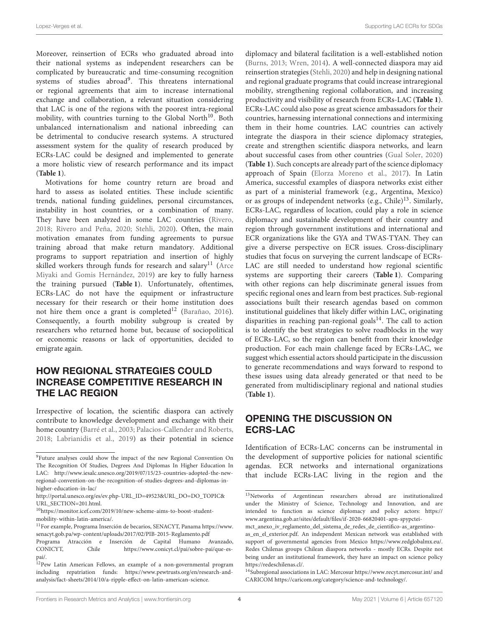Moreover, reinsertion of ECRs who graduated abroad into their national systems as independent researchers can be complicated by bureaucratic and time-consuming recognition systems of studies abroad<sup>[9](#page-3-0)</sup>. This threatens international or regional agreements that aim to increase international exchange and collaboration, a relevant situation considering that LAC is one of the regions with the poorest intra-regional mobility, with countries turning to the Global North $10$ . Both unbalanced internationalism and national inbreeding can be detrimental to conducive research systems. A structured assessment system for the quality of research produced by ECRs-LAC could be designed and implemented to generate a more holistic view of research performance and its impact (**[Table 1](#page-2-0)**).

Motivations for home country return are broad and hard to assess as isolated entities. These include scientific trends, national funding guidelines, personal circumstances, instability in host countries, or a combination of many. They have been analyzed in some LAC countries [\(Rivero,](#page-5-16) [2018;](#page-5-16) [Rivero and Peña, 2020;](#page-5-17) [Stehli, 2020\)](#page-5-18). Often, the main motivation emanates from funding agreements to pursue training abroad that make return mandatory. Additional programs to support repatriation and insertion of highly skilled workers through funds for research and salary<sup>[11](#page-3-2)</sup> (Arce Miyaki and Gomis Hernández, [2019\)](#page-4-15) are key to fully harness the training pursued (**[Table 1](#page-2-0)**). Unfortunately, oftentimes, ECRs-LAC do not have the equipment or infrastructure necessary for their research or their home institution does not hire them once a grant is completed<sup>[12](#page-3-3)</sup> [\(Barañao, 2016\)](#page-4-16). Consequently, a fourth mobility subgroup is created by researchers who returned home but, because of sociopolitical or economic reasons or lack of opportunities, decided to emigrate again.

### HOW REGIONAL STRATEGIES COULD INCREASE COMPETITIVE RESEARCH IN THE LAC REGION

Irrespective of location, the scientific diaspora can actively contribute to knowledge development and exchange with their home country [\(Barré et al., 2003;](#page-4-17) [Palacios-Callender and Roberts,](#page-5-19) [2018;](#page-5-19) [Labrianidis et al., 2019\)](#page-5-20) as their potential in science diplomacy and bilateral facilitation is a well-established notion [\(Burns, 2013;](#page-4-18) [Wren, 2014\)](#page-5-21). A well-connected diaspora may aid reinsertion strategies [\(Stehli, 2020\)](#page-5-18) and help in designing national and regional graduate programs that could increase intraregional mobility, strengthening regional collaboration, and increasing productivity and visibility of research from ECRs-LAC (**[Table 1](#page-2-0)**). ECRs-LAC could also pose as great science ambassadors for their countries, harnessing international connections and intermixing them in their home countries. LAC countries can actively integrate the diaspora in their science diplomacy strategies, create and strengthen scientific diaspora networks, and learn about successful cases from other countries [\(Gual Soler, 2020\)](#page-4-1) (**[Table 1](#page-2-0)**). Such concepts are already part of the science diplomacy approach of Spain [\(Elorza Moreno et al., 2017\)](#page-4-19). In Latin America, successful examples of diaspora networks exist either as part of a ministerial framework (e.g., Argentina, Mexico) or as groups of independent networks (e.g., Chile) $13$ . Similarly, ECRs-LAC, regardless of location, could play a role in science diplomacy and sustainable development of their country and region through government institutions and international and ECR organizations like the GYA and TWAS-TYAN. They can give a diverse perspective on ECR issues. Cross-disciplinary studies that focus on surveying the current landscape of ECRs-LAC are still needed to understand how regional scientific systems are supporting their careers (**[Table 1](#page-2-0)**). Comparing with other regions can help discriminate general issues from specific regional ones and learn from best practices. Sub-regional associations built their research agendas based on common institutional guidelines that likely differ within LAC, originating disparities in reaching pan-regional goals $14$ . The call to action is to identify the best strategies to solve roadblocks in the way of ECRs-LAC, so the region can benefit from their knowledge production. For each main challenge faced by ECRs-LAC, we suggest which essential actors should participate in the discussion to generate recommendations and ways forward to respond to these issues using data already generated or that need to be generated from multidisciplinary regional and national studies (**[Table 1](#page-2-0)**).

### OPENING THE DISCUSSION ON ECRS-LAC

Identification of ECRs-LAC concerns can be instrumental in the development of supportive policies for national scientific agendas. ECR networks and international organizations that include ECRs-LAC living in the region and the

<span id="page-3-0"></span><sup>9</sup>Future analyses could show the impact of the new Regional Convention On The Recognition Of Studies, Degrees And Diplomas In Higher Education In LAC: [http://www.iesalc.unesco.org/2019/07/15/23-countries-adopted-the-new](http://www.iesalc.unesco.org/2019/07/15/23-countries-adopted-the-new-regional-convention-on-the-recognition-of-studies-degrees-and-diplomas-in-higher-education-in-lac/)[regional-convention-on-the-recognition-of-studies-degrees-and-diplomas-in](http://www.iesalc.unesco.org/2019/07/15/23-countries-adopted-the-new-regional-convention-on-the-recognition-of-studies-degrees-and-diplomas-in-higher-education-in-lac/)[higher-education-in-lac/](http://www.iesalc.unesco.org/2019/07/15/23-countries-adopted-the-new-regional-convention-on-the-recognition-of-studies-degrees-and-diplomas-in-higher-education-in-lac/)

[http://portal.unesco.org/es/ev.php-URL\\_ID=49523&URL\\_DO=DO\\_TOPIC&](http://portal.unesco.org/es/ev.php-URL_ID=49523&URL_DO=DO_TOPIC&URL_SECTION=201.html) [URL\\_SECTION=201.html.](http://portal.unesco.org/es/ev.php-URL_ID=49523&URL_DO=DO_TOPIC&URL_SECTION=201.html)

<span id="page-3-1"></span> $^{10}\mathrm{https://monitor.icef.com/2019/10/new-scheme- aims-to-boost-student-}$ [mobility-within-latin-america/.](https://monitor.icef.com/2019/10/new-scheme-aims-to-boost-student-mobility-within-latin-america/)

<span id="page-3-2"></span><sup>11</sup>For example, Programa Inserción de becarios, SENACYT, Panama [https://www.](https://www.senacyt.gob.pa/wp-content/uploads/2017/02/PIB-2015-Reglamento.pdf) [senacyt.gob.pa/wp-content/uploads/2017/02/PIB-2015-Reglamento.pdf](https://www.senacyt.gob.pa/wp-content/uploads/2017/02/PIB-2015-Reglamento.pdf)

Programa Atracción e Inserción de Capital Humano Avanzado, CONICYT, Chile [https://www.conicyt.cl/pai/sobre-pai/que-es](https://www.conicyt.cl/pai/sobre-pai/que-es-pai/)[pai/.](https://www.conicyt.cl/pai/sobre-pai/que-es-pai/)

<span id="page-3-3"></span><sup>&</sup>lt;sup>12</sup>Pew Latin American Fellows, an example of a non-governmental program including repatriation funds: [https://www.pewtrusts.org/en/research-and](https://www.pewtrusts.org/en/research-and-analysis/fact-sheets/2014/10/a-ripple-effect-on-latin-american-science)[analysis/fact-sheets/2014/10/a-ripple-effect-on-latin-american-science.](https://www.pewtrusts.org/en/research-and-analysis/fact-sheets/2014/10/a-ripple-effect-on-latin-american-science)

<span id="page-3-4"></span><sup>13</sup>Networks of Argentinean researchers abroad are institutionalized under the Ministry of Science, Technology and Innovation, and are intended to function as science diplomacy and policy actors: [https://](https://www.argentina.gob.ar/sites/default/files/if-2020-66820401-apn-spypctei-mct_anexo_iv_reglamento_del_sistema_de_redes_de_cientifico-as_argentino-as_en_el_exterior.pdf) [www.argentina.gob.ar/sites/default/files/if-2020-66820401-apn-spypctei-](https://www.argentina.gob.ar/sites/default/files/if-2020-66820401-apn-spypctei-mct_anexo_iv_reglamento_del_sistema_de_redes_de_cientifico-as_argentino-as_en_el_exterior.pdf)

[mct\\_anexo\\_iv\\_reglamento\\_del\\_sistema\\_de\\_redes\\_de\\_cientifico-as\\_argentino-](https://www.argentina.gob.ar/sites/default/files/if-2020-66820401-apn-spypctei-mct_anexo_iv_reglamento_del_sistema_de_redes_de_cientifico-as_argentino-as_en_el_exterior.pdf)

[as\\_en\\_el\\_exterior.pdf.](https://www.argentina.gob.ar/sites/default/files/if-2020-66820401-apn-spypctei-mct_anexo_iv_reglamento_del_sistema_de_redes_de_cientifico-as_argentino-as_en_el_exterior.pdf) An independent Mexican network was established with support of governmental agencies from Mexico [https://www.redglobalmx.eu/.](https://www.redglobalmx.eu/) Redes Chilenas groups Chilean diaspora networks - mostly ECRs. Despite not being under an institutional framework, they have an impact on science policy [https://redeschilenas.cl/.](https://redeschilenas.cl/)

<span id="page-3-5"></span><sup>14</sup>Subregional associations in LAC: Mercosur<https://www.recyt.mercosur.int/> and CARICOM [https://caricom.org/category/science-and-technology/.](https://caricom.org/category/science-and-technology/)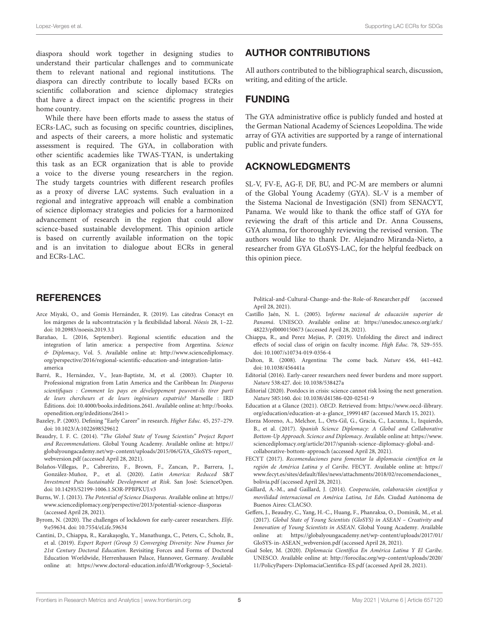diaspora should work together in designing studies to understand their particular challenges and to communicate them to relevant national and regional institutions. The diaspora can directly contribute to locally based ECRs on scientific collaboration and science diplomacy strategies that have a direct impact on the scientific progress in their home country.

While there have been efforts made to assess the status of ECRs-LAC, such as focusing on specific countries, disciplines, and aspects of their careers, a more holistic and systematic assessment is required. The GYA, in collaboration with other scientific academies like TWAS-TYAN, is undertaking this task as an ECR organization that is able to provide a voice to the diverse young researchers in the region. The study targets countries with different research profiles as a proxy of diverse LAC systems. Such evaluation in a regional and integrative approach will enable a combination of science diplomacy strategies and policies for a harmonized advancement of research in the region that could allow science-based sustainable development. This opinion article is based on currently available information on the topic and is an invitation to dialogue about ECRs in general and ECRs-LAC.

## AUTHOR CONTRIBUTIONS

All authors contributed to the bibliographical search, discussion, writing, and editing of the article.

### FUNDING

The GYA administrative office is publicly funded and hosted at the German National Academy of Sciences Leopoldina. The wide array of GYA activities are supported by a range of international public and private funders.

### ACKNOWLEDGMENTS

SL-V, FV-E, AG-F, DF, BU, and PC-M are members or alumni of the Global Young Academy (GYA). SL-V is a member of the Sistema Nacional de Investigación (SNI) from SENACYT, Panama. We would like to thank the office staff of GYA for reviewing the draft of this article and Dr. Anna Coussens, GYA alumna, for thoroughly reviewing the revised version. The authors would like to thank Dr. Alejandro Miranda-Nieto, a researcher from GYA GLoSYS-LAC, for the helpful feedback on this opinion piece.

#### **REFERENCES**

- <span id="page-4-15"></span>Arce Miyaki, O., and Gomis Hernández, R. (2019). Las cátedras Conacyt en los márgenes de la subcontratación y la flexibilidad laboral. Nóesis 28, 1–22. doi: [10.20983/noesis.2019.3.1](https://doi.org/10.20983/noesis.2019.3.1)
- <span id="page-4-16"></span>Barañao, L. (2016, September). Regional scientific education and the integration of latin america: a perspective from Argentina. Science & Diplomacy, Vol. 5. Available online at: [http://www.sciencediplomacy.](http://www.sciencediplomacy.org/perspective/2016/regional-scientific-education-and-integration-latin-america) [org/perspective/2016/regional-scientific-education-and-integration-latin](http://www.sciencediplomacy.org/perspective/2016/regional-scientific-education-and-integration-latin-america)[america](http://www.sciencediplomacy.org/perspective/2016/regional-scientific-education-and-integration-latin-america)
- <span id="page-4-17"></span>Barré, R., Hernández, V., Jean-Baptiste, M, et al. (2003). Chapter 10. Professional migration from Latin America and the Caribbean In: Diasporas scientifiques : Comment les pays en développement peuvent-ils tirer parti de leurs chercheurs et de leurs ingénieurs expatriés? Marseille : IRD Éditions. doi: [10.4000/books.irdeditions.2641.](https://doi.org/10.4000/books.irdeditions.2641) Available online at: [http://books.](http://books.openedition.org/irdeditions/2641) [openedition.org/irdeditions/2641](http://books.openedition.org/irdeditions/2641)>
- <span id="page-4-2"></span>Bazeley, P. (2003). Defining "Early Career" in research. Higher Educ. 45, 257–279. doi: [10.1023/A:1022698529612](https://doi.org/10.1023/A:1022698529612)
- <span id="page-4-10"></span>Beaudry, I. F. C. (2014). "The Global State of Young Scientists" Project Report and Recommendations. Global Young Academy. Available online at: [https://](https://globalyoungacademy.net/wp-content/uploads/2015/06/GYA_GloSYS-report_webversion.pdf) [globalyoungacademy.net/wp-content/uploads/2015/06/GYA\\_GloSYS-report\\_](https://globalyoungacademy.net/wp-content/uploads/2015/06/GYA_GloSYS-report_webversion.pdf) [webversion.pdf](https://globalyoungacademy.net/wp-content/uploads/2015/06/GYA_GloSYS-report_webversion.pdf) (accessed April 28, 2021).
- <span id="page-4-4"></span>Bolaños-Villegas, P., Cabrerizo, F., Brown, F., Zancan, P., Barrera, J., González-Muñoz, P., et al. (2020). Latin America: Reduced S&T Investment Puts Sustainable Development at Risk. San José: ScienceOpen. doi: [10.14293/S2199-1006.1.SOR-PPBPKUJ.v3](https://doi.org/10.14293/S2199-1006.1.SOR-PPBPKUJ.v3)
- <span id="page-4-18"></span>Burns, W. J. (2013). The Potential of Science Diasporas. Available online at: [https://](https://www.sciencediplomacy.org/perspective/2013/potential-science-diasporas) [www.sciencediplomacy.org/perspective/2013/potential-science-diasporas](https://www.sciencediplomacy.org/perspective/2013/potential-science-diasporas) (accessed April 28, 2021).
- <span id="page-4-8"></span>Byrom, N. (2020). The challenges of lockdown for early-career researchers. Elife. 9:e59634. doi: [10.7554/eLife.59634](https://doi.org/10.7554/eLife.59634)
- <span id="page-4-13"></span>Cantini, D., Chiappa, R., Karaka¸soglu, Y., Manathunga, C., Peters, C., Scholz, B., et al. (2019). Expert Report (Group 5) Converging Diversity: New Frames for 21st Century Doctoral Education. Revisiting Forces and Forms of Doctoral Education Worldwide, Herrenhausen Palace, Hannover, Germany. Available online at: [https://www.doctoral-education.info/dl/Workgroup-5\\_Societal-](https://www.doctoral-education.info/dl/Workgroup-5_Societal-Political-and-Cultural-Change-and-the-Role-of-Researcher.pdf)

[Political-and-Cultural-Change-and-the-Role-of-Researcher.pdf](https://www.doctoral-education.info/dl/Workgroup-5_Societal-Political-and-Cultural-Change-and-the-Role-of-Researcher.pdf) (accessed April 28, 2021).

- <span id="page-4-12"></span>Castillo Jaén, N. L. (2005). Informe nacional de educación superior de Panamá. UNESCO. Available online at: [https://unesdoc.unesco.org/ark:/](https://unesdoc.unesco.org/ark:/48223/pf0000150673) [48223/pf0000150673](https://unesdoc.unesco.org/ark:/48223/pf0000150673) (accessed April 28, 2021).
- <span id="page-4-14"></span>Chiappa, R., and Perez Mejias, P. (2019). Unfolding the direct and indirect effects of social class of origin on faculty income. High Educ. 78, 529–555. doi: [10.1007/s10734-019-0356-4](https://doi.org/10.1007/s10734-019-0356-4)
- <span id="page-4-5"></span>Dalton, R. (2008). Argentina: The come back. Nature 456, 441–442. doi: [10.1038/456441a](https://doi.org/10.1038/456441a)
- <span id="page-4-7"></span>Editorial (2016). Early-career researchers need fewer burdens and more support. Nature 538:427. doi: [10.1038/538427a](https://doi.org/10.1038/538427a)
- <span id="page-4-9"></span>Editorial (2020). Postdocs in crisis: science cannot risk losing the next generation. Nature 585:160. doi: [10.1038/d41586-020-02541-9](https://doi.org/10.1038/d41586-020-02541-9)
- <span id="page-4-3"></span>Education at a Glance (2021). OECD. Retrieved from: [https://www.oecd-ilibrary.](https://www.oecd-ilibrary.org/education/education-at-a-glance_19991487) [org/education/education-at-a-glance\\_19991487](https://www.oecd-ilibrary.org/education/education-at-a-glance_19991487) (accessed March 15, 2021).
- <span id="page-4-19"></span>Elorza Moreno, A., Melchor, L., Orts-Gil, G., Gracia, C., Lacunza, I., Izquierdo, B., et al. (2017). Spanish Science Diplomacy: A Global and Collaborative Bottom-Up Approach. Science and Diplomacy. Available online at: [https://www.](https://www.sciencediplomacy.org/article/2017/spanish-science-diplomacy-global-and-collaborative-bottom-approach) [sciencediplomacy.org/article/2017/spanish-science-diplomacy-global-and](https://www.sciencediplomacy.org/article/2017/spanish-science-diplomacy-global-and-collaborative-bottom-approach)[collaborative-bottom-approach](https://www.sciencediplomacy.org/article/2017/spanish-science-diplomacy-global-and-collaborative-bottom-approach) (accessed April 28, 2021).
- <span id="page-4-0"></span>FECYT (2017). Recomendaciones para fomentar la diplomacia científica en la región de América Latina y el Caribe. FECYT. Available online at: [https://](https://www.fecyt.es/sites/default/files/news/attachments/2018/02/recomendaciones_bolivia.pdf) [www.fecyt.es/sites/default/files/news/attachments/2018/02/recomendaciones\\_](https://www.fecyt.es/sites/default/files/news/attachments/2018/02/recomendaciones_bolivia.pdf) [bolivia.pdf](https://www.fecyt.es/sites/default/files/news/attachments/2018/02/recomendaciones_bolivia.pdf) (accessed April 28, 2021).
- <span id="page-4-6"></span>Gaillard, A.-M., and Gaillard, J. (2014). Cooperación, colaboración científica y movilidad internacional en América Latina, 1st Edn. Ciudad Autónoma de Buenos Aires: CLACSO.
- <span id="page-4-11"></span>Geffers, J., Beaudry, C., Yang, H.-C., Huang, F., Phanraksa, O., Dominik, M., et al. (2017). Global State of Young Scientists (GloSYS) in ASEAN – Creativity and Innovation of Young Scientists in ASEAN. Global Young Academy. Available online at: [https://globalyoungacademy.net/wp-content/uploads/2017/01/](https://globalyoungacademy.net/wp-content/uploads/2017/01/GloSYS-in-ASEAN_webversion.pdf) [GloSYS-in-ASEAN\\_webversion.pdf](https://globalyoungacademy.net/wp-content/uploads/2017/01/GloSYS-in-ASEAN_webversion.pdf) (accessed April 28, 2021).
- <span id="page-4-1"></span>Gual Soler, M. (2020). Diplomacia Científica En América Latina Y El Caribe. UNESCO. Available online at: [http://forocilac.org/wp-content/uploads/2020/](http://forocilac.org/wp-content/uploads/2020/11/PolicyPapers-DiplomaciaCientifica-ES.pdf) [11/PolicyPapers-DiplomaciaCientifica-ES.pdf](http://forocilac.org/wp-content/uploads/2020/11/PolicyPapers-DiplomaciaCientifica-ES.pdf) (accessed April 28, 2021).